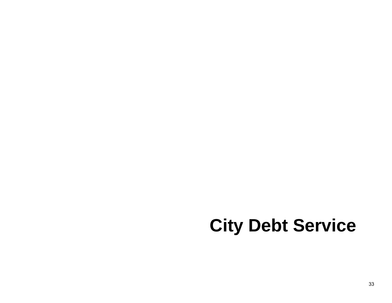# **City Debt Service**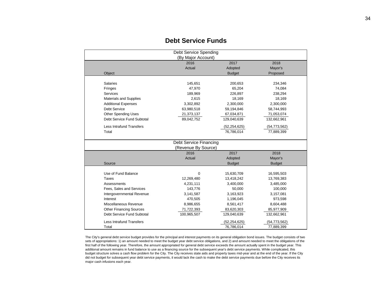| Debt Service Spending           |                    |                              |                |  |  |  |  |  |  |
|---------------------------------|--------------------|------------------------------|----------------|--|--|--|--|--|--|
| (By Major Account)              |                    |                              |                |  |  |  |  |  |  |
|                                 | 2016               | 2017                         | 2018           |  |  |  |  |  |  |
|                                 | Actual             | Adopted                      | Mayor's        |  |  |  |  |  |  |
| Object                          |                    | <b>Budget</b>                | Proposed       |  |  |  |  |  |  |
|                                 |                    |                              |                |  |  |  |  |  |  |
| <b>Salaries</b>                 | 145,651            | 200,653                      | 234,346        |  |  |  |  |  |  |
| Fringes                         | 47,970             | 65,204                       | 74,084         |  |  |  |  |  |  |
| Services                        | 189,969<br>226,897 |                              | 238,294        |  |  |  |  |  |  |
| Materials and Supplies          | 2,615              | 18,169                       | 18,169         |  |  |  |  |  |  |
| <b>Additional Expenses</b>      | 3,302,892          | 2,300,000                    | 2,300,000      |  |  |  |  |  |  |
| <b>Debt Service</b>             | 63,980,518         | 59,194,846                   | 58,744,993     |  |  |  |  |  |  |
| Other Spending Uses             | 21,373,137         | 67,034,871                   | 71,053,074     |  |  |  |  |  |  |
| Debt Service Fund Subtotal      | 89,042,752         | 129,040,639                  | 132,662,961    |  |  |  |  |  |  |
| <b>Less Intrafund Transfers</b> |                    | (52, 254, 625)               | (54, 773, 562) |  |  |  |  |  |  |
| Total                           |                    | 76,786,014                   | 77,889,399     |  |  |  |  |  |  |
|                                 |                    |                              |                |  |  |  |  |  |  |
| Debt Service Financing          |                    |                              |                |  |  |  |  |  |  |
| (Revenue By Source)             |                    |                              |                |  |  |  |  |  |  |
|                                 | 2016               | 2017                         | 2018           |  |  |  |  |  |  |
|                                 | Actual             | Adopted                      | Mayor's        |  |  |  |  |  |  |
| Source                          |                    | <b>Budget</b>                | <b>Budget</b>  |  |  |  |  |  |  |
|                                 |                    |                              |                |  |  |  |  |  |  |
| Use of Fund Balance             | $\mathbf 0$        | 15,630,709                   | 16,595,503     |  |  |  |  |  |  |
| <b>Taxes</b>                    | 12,269,480         | 13,418,242                   | 13,769,383     |  |  |  |  |  |  |
| Assessments                     | 4,231,111          | 3,400,000                    | 3,485,000      |  |  |  |  |  |  |
| Fees, Sales and Services        |                    | 143,776<br>50,000<br>100,000 |                |  |  |  |  |  |  |
| Intergovernmental Revenue       | 3,141,587          | 3,163,923<br>3,157,081       |                |  |  |  |  |  |  |
| Interest                        | 470,505            | 1,196,045                    | 973,598        |  |  |  |  |  |  |
| Miscellaneous Revenue           | 8,986,655          | 8,561,417                    | 8,604,488      |  |  |  |  |  |  |
| <b>Other Financing Sources</b>  | 71,722,393         | 83,620,303                   | 85,977,909     |  |  |  |  |  |  |
| Debt Service Fund Subtotal      | 100,965,507        | 129,040,639                  | 132,662,961    |  |  |  |  |  |  |
| <b>Less Intrafund Transfers</b> |                    | (52,254,625)                 | (54, 773, 562) |  |  |  |  |  |  |
| Total                           |                    | 76,786,014                   | 77,889,399     |  |  |  |  |  |  |

## **Debt Service Funds**

The City's general debt service budget provides for the principal and interest payments on its general obligation bond issues. The budget consists of two sets of appropriations: 1) an amount needed to meet the budget year debt service obligations, and 2) and amount needed to meet the obligations of the first half of the following year. Therefore, the amount appropriated for general debt service exceeds the amount actually spent in the budget year. This additional amount remains in fund balance to use as a financing source for the subsequent year's debt service payments. While complicated, this budget structure solves a cash flow problem for the City. The City receives state aids and property taxes mid-year and at the end of the year. If the City did not budget for subsequent year debt service payments, it would lack the cash to make the debt service payments due before the City receives its major cash infusions each year.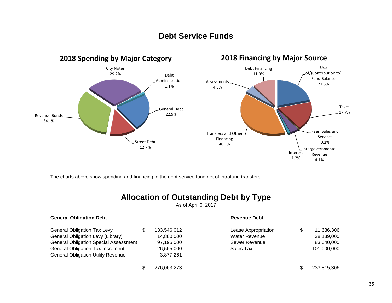# **Debt Service Funds**



The charts above show spending and financing in the debt service fund net of intrafund transfers.

# **Allocation of Outstanding Debt by Type**

As of April 6, 2017

| <b>General Obligation Debt</b>               |     |             | <b>Revenue Debt</b>  |                  |
|----------------------------------------------|-----|-------------|----------------------|------------------|
| <b>General Obligation Tax Levy</b>           | \$. | 133,546,012 | Lease Appropriation  | \$<br>11,636,306 |
| General Obligation Levy (Library)            |     | 14.880.000  | <b>Water Revenue</b> | 38,139,000       |
| <b>General Obligation Special Assessment</b> |     | 97,195,000  | Sewer Revenue        | 83,040,000       |
| <b>General Obligation Tax Increment</b>      |     | 26,565,000  | Sales Tax            | 101,000,000      |
| <b>General Obligation Utility Revenue</b>    |     | 3,877,261   |                      |                  |
|                                              |     | 276,063,273 |                      | 233,815,306      |